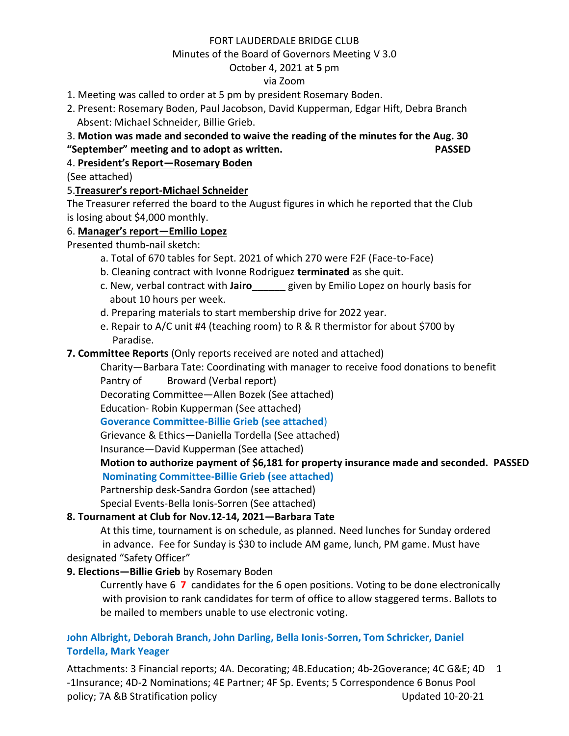### FORT LAUDERDALE BRIDGE CLUB

#### Minutes of the Board of Governors Meeting V 3.0

### October 4, 2021 at **5** pm

### via Zoom

- 1. Meeting was called to order at 5 pm by president Rosemary Boden.
- 2. Present: Rosemary Boden, Paul Jacobson, David Kupperman, Edgar Hift, Debra Branch Absent: Michael Schneider, Billie Grieb.

# 3. **Motion was made and seconded to waive the reading of the minutes for the Aug. 30 "September" meeting and to adopt as written. PASSED**

# 4. **President's Report—Rosemary Boden**

(See attached)

## 5.**Treasurer's report-Michael Schneider**

The Treasurer referred the board to the August figures in which he reported that the Club is losing about \$4,000 monthly.

## 6. **Manager's report—Emilio Lopez**

Presented thumb-nail sketch:

- a. Total of 670 tables for Sept. 2021 of which 270 were F2F (Face-to-Face)
- b. Cleaning contract with Ivonne Rodriguez **terminated** as she quit.
- c. New, verbal contract with **Jairo\_\_\_\_\_\_** given by Emilio Lopez on hourly basis for about 10 hours per week.
- d. Preparing materials to start membership drive for 2022 year.
- e. Repair to A/C unit #4 (teaching room) to R & R thermistor for about \$700 by Paradise.

## **7. Committee Reports** (Only reports received are noted and attached)

Charity—Barbara Tate: Coordinating with manager to receive food donations to benefit Pantry of Broward (Verbal report)

Decorating Committee—Allen Bozek (See attached)

Education- Robin Kupperman (See attached)

**Goverance Committee-Billie Grieb (see attached**)

Grievance & Ethics—Daniella Tordella (See attached)

Insurance—David Kupperman (See attached)

# **Motion to authorize payment of \$6,181 for property insurance made and seconded. PASSED Nominating Committee-Billie Grieb (see attached)**

Partnership desk-Sandra Gordon (see attached)

Special Events-Bella Ionis-Sorren (See attached)

# **8. Tournament at Club for Nov.12-14, 2021—Barbara Tate**

At this time, tournament is on schedule, as planned. Need lunches for Sunday ordered in advance. Fee for Sunday is \$30 to include AM game, lunch, PM game. Must have designated "Safety Officer"

# **9. Elections—Billie Grieb** by Rosemary Boden

Currently have 6 **7** candidates for the 6 open positions. Voting to be done electronically with provision to rank candidates for term of office to allow staggered terms. Ballots to be mailed to members unable to use electronic voting.

## **John Albright, Deborah Branch, John Darling, Bella Ionis-Sorren, Tom Schricker, Daniel Tordella, Mark Yeager**

Attachments: 3 Financial reports; 4A. Decorating; 4B.Education; 4b-2Goverance; 4C G&E; 4D 1 -1Insurance; 4D-2 Nominations; 4E Partner; 4F Sp. Events; 5 Correspondence 6 Bonus Pool policy; 7A &B Stratification policy Updated 10-20-21